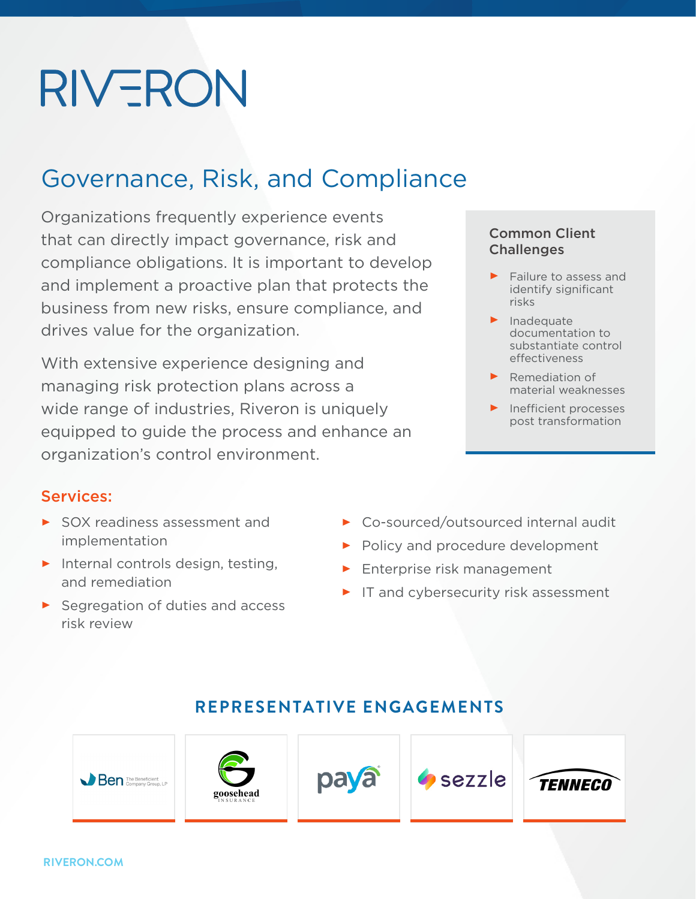# **RIVERON**

### Governance, Risk, and Compliance

Organizations frequently experience events that can directly impact governance, risk and compliance obligations. It is important to develop and implement a proactive plan that protects the business from new risks, ensure compliance, and drives value for the organization.

With extensive experience designing and managing risk protection plans across a wide range of industries, Riveron is uniquely equipped to guide the process and enhance an organization's control environment.

#### Services:

- SOX readiness assessment and implementation
- $\blacktriangleright$  Internal controls design, testing, and remediation
- Segregation of duties and access risk review
- Common Client **Challenges**
- $\blacktriangleright$  Failure to assess and identify significant risks
- $\blacktriangleright$  Inadequate documentation to substantiate control effectiveness
- **Remediation of** material weaknesses
- $\blacktriangleright$  Inefficient processes post transformation
- ▶ Co-sourced/outsourced internal audit
- Policy and procedure development
- **Enterprise risk management**
- $\blacktriangleright$  IT and cybersecurity risk assessment

#### **REPRESENTATIVE ENGAGEMENTS**